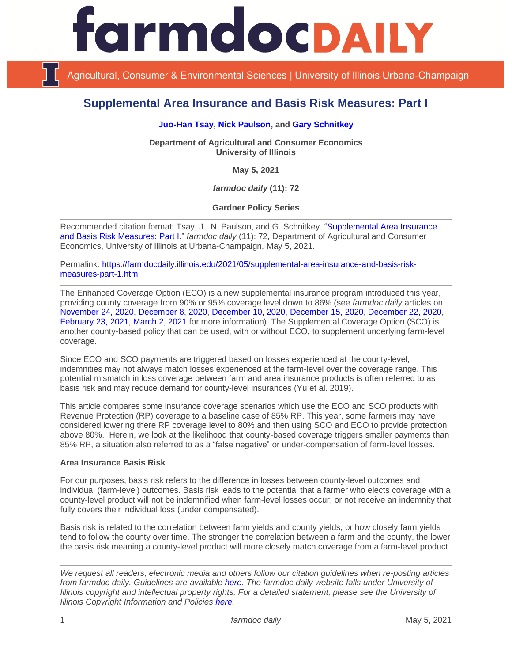

Agricultural, Consumer & Environmental Sciences | University of Illinois Urbana-Champaign

# **Supplemental Area Insurance and Basis Risk Measures: Part I**

## **[Juo-Han Tsay,](https://ace.illinois.edu/directory/jhtsay2) [Nick Paulson,](https://ace.illinois.edu/directory/npaulson) and [Gary Schnitkey](https://ace.illinois.edu/directory/schnitke)**

**Department of Agricultural and Consumer Economics University of Illinois**

**May 5, 2021**

*farmdoc daily* **(11): 72**

**Gardner Policy Series**

Recommended citation format: Tsay, J., N. Paulson, and G. Schnitkey. ["Supplemental Area Insurance](https://farmdocdaily.illinois.edu/2021/05/supplemental-area-insurance-and-basis-risk-measures-part-1.html)  [and Basis Risk Measures: Part I.](https://farmdocdaily.illinois.edu/2021/05/supplemental-area-insurance-and-basis-risk-measures-part-1.html)" *farmdoc daily* (11): 72, Department of Agricultural and Consumer Economics, University of Illinois at Urbana-Champaign, May 5, 2021.

Permalink: [https://farmdocdaily.illinois.edu/2021/05/supplemental-area-insurance-and-basis-risk](https://farmdocdaily.illinois.edu/2021/05/supplemental-area-insurance-and-basis-risk-measures-part-1.html)[measures-part-1.html](https://farmdocdaily.illinois.edu/2021/05/supplemental-area-insurance-and-basis-risk-measures-part-1.html)

The Enhanced Coverage Option (ECO) is a new supplemental insurance program introduced this year, providing county coverage from 90% or 95% coverage level down to 86% (see *farmdoc daily* articles on [November 24, 2020,](https://farmdocdaily.illinois.edu/2020/11/the-new-enhanced-coverage-option-eco-crop-insurance-program.html) [December 8, 2020,](https://farmdocdaily.illinois.edu/2020/12/premiums-for-the-enhanced-coverage-option.html) [December 10, 2020,](https://farmdocdaily.illinois.edu/2020/12/historical-analysis-of-the-frequency-of-triggering-enhanced-coverage-option-eco-payments.html) [December 15, 2020,](https://farmdocdaily.illinois.edu/2020/12/years-in-which-enhance-coverage-option-pays.html) [December 22, 2020,](https://farmdocdaily.illinois.edu/2020/12/payment-examples-under-enhanced-coverage-option.html) [February 23, 2021,](https://farmdocdaily.illinois.edu/2021/02/potential-payouts-from-enhanced-coverage-option.html) [March 2, 2021](https://farmdocdaily.illinois.edu/2021/03/rp-eco-and-sco-tradeoffs.html) for more information). The Supplemental Coverage Option (SCO) is another county-based policy that can be used, with or without ECO, to supplement underlying farm-level coverage.

Since ECO and SCO payments are triggered based on losses experienced at the county-level, indemnities may not always match losses experienced at the farm-level over the coverage range. This potential mismatch in loss coverage between farm and area insurance products is often referred to as basis risk and may reduce demand for county-level insurances (Yu et al. 2019).

This article compares some insurance coverage scenarios which use the ECO and SCO products with Revenue Protection (RP) coverage to a baseline case of 85% RP. This year, some farmers may have considered lowering there RP coverage level to 80% and then using SCO and ECO to provide protection above 80%. Herein, we look at the likelihood that county-based coverage triggers smaller payments than 85% RP, a situation also referred to as a "false negative" or under-compensation of farm-level losses.

#### **Area Insurance Basis Risk**

For our purposes, basis risk refers to the difference in losses between county-level outcomes and individual (farm-level) outcomes. Basis risk leads to the potential that a farmer who elects coverage with a county-level product will not be indemnified when farm-level losses occur, or not receive an indemnity that fully covers their individual loss (under compensated).

Basis risk is related to the correlation between farm yields and county yields, or how closely farm yields tend to follow the county over time. The stronger the correlation between a farm and the county, the lower the basis risk meaning a county-level product will more closely match coverage from a farm-level product.

*We request all readers, electronic media and others follow our citation guidelines when re-posting articles from farmdoc daily. Guidelines are available [here.](http://farmdocdaily.illinois.edu/citationguide.html) The farmdoc daily website falls under University of Illinois copyright and intellectual property rights. For a detailed statement, please see the University of Illinois Copyright Information and Policies [here.](http://www.cio.illinois.edu/policies/copyright/)*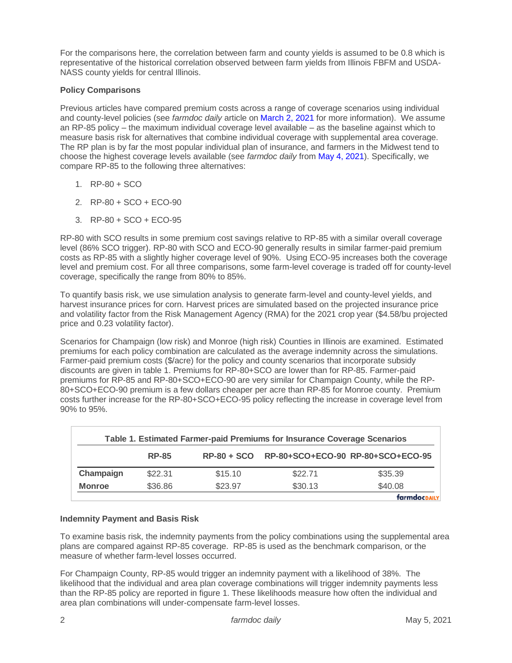For the comparisons here, the correlation between farm and county yields is assumed to be 0.8 which is representative of the historical correlation observed between farm yields from Illinois FBFM and USDA-NASS county yields for central Illinois.

## **Policy Comparisons**

Previous articles have compared premium costs across a range of coverage scenarios using individual and county-level policies (see *farmdoc daily* article o[n March 2, 2021](https://farmdocdaily.illinois.edu/2021/03/rp-eco-and-sco-tradeoffs.html) for more information). We assume an RP-85 policy – the maximum individual coverage level available – as the baseline against which to measure basis risk for alternatives that combine individual coverage with supplemental area coverage. The RP plan is by far the most popular individual plan of insurance, and farmers in the Midwest tend to choose the highest coverage levels available (see *farmdoc daily* from [May 4, 2021\)](https://farmdocdaily.illinois.edu/2021/05/crop-insurance-coverage-levels-and-eco-use-on-corn.html). Specifically, we compare RP-85 to the following three alternatives:

- 1. RP-80 + SCO
- 2. RP-80 + SCO + ECO-90
- 3. RP-80 + SCO + ECO-95

RP-80 with SCO results in some premium cost savings relative to RP-85 with a similar overall coverage level (86% SCO trigger). RP-80 with SCO and ECO-90 generally results in similar farmer-paid premium costs as RP-85 with a slightly higher coverage level of 90%. Using ECO-95 increases both the coverage level and premium cost. For all three comparisons, some farm-level coverage is traded off for county-level coverage, specifically the range from 80% to 85%.

To quantify basis risk, we use simulation analysis to generate farm-level and county-level yields, and harvest insurance prices for corn. Harvest prices are simulated based on the projected insurance price and volatility factor from the Risk Management Agency (RMA) for the 2021 crop year (\$4.58/bu projected price and 0.23 volatility factor).

Scenarios for Champaign (low risk) and Monroe (high risk) Counties in Illinois are examined. Estimated premiums for each policy combination are calculated as the average indemnity across the simulations. Farmer-paid premium costs (\$/acre) for the policy and county scenarios that incorporate subsidy discounts are given in table 1. Premiums for RP-80+SCO are lower than for RP-85. Farmer-paid premiums for RP-85 and RP-80+SCO+ECO-90 are very similar for Champaign County, while the RP-80+SCO+ECO-90 premium is a few dollars cheaper per acre than RP-85 for Monroe county. Premium costs further increase for the RP-80+SCO+ECO-95 policy reflecting the increase in coverage level from 90% to 95%.

| Table 1. Estimated Farmer-paid Premiums for Insurance Coverage Scenarios |              |               |                                   |          |
|--------------------------------------------------------------------------|--------------|---------------|-----------------------------------|----------|
|                                                                          | <b>RP-85</b> | $RP-80 + SCO$ | RP-80+SCO+ECO-90 RP-80+SCO+ECO-95 |          |
| Champaign                                                                | \$22.31      | \$15.10       | \$22.71                           | \$35.39  |
| <b>Monroe</b>                                                            | \$36.86      | \$23.97       | \$30.13                           | \$40.08  |
|                                                                          |              |               |                                   | farmdocr |

#### **Indemnity Payment and Basis Risk**

To examine basis risk, the indemnity payments from the policy combinations using the supplemental area plans are compared against RP-85 coverage. RP-85 is used as the benchmark comparison, or the measure of whether farm-level losses occurred.

For Champaign County, RP-85 would trigger an indemnity payment with a likelihood of 38%. The likelihood that the individual and area plan coverage combinations will trigger indemnity payments less than the RP-85 policy are reported in figure 1. These likelihoods measure how often the individual and area plan combinations will under-compensate farm-level losses.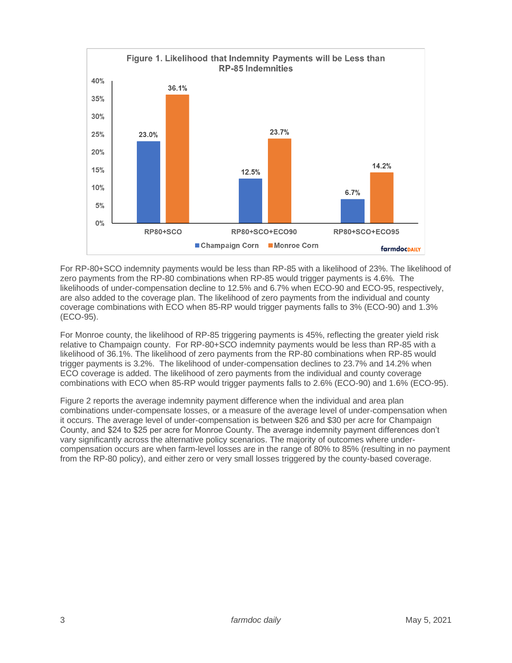

For RP-80+SCO indemnity payments would be less than RP-85 with a likelihood of 23%. The likelihood of zero payments from the RP-80 combinations when RP-85 would trigger payments is 4.6%. The likelihoods of under-compensation decline to 12.5% and 6.7% when ECO-90 and ECO-95, respectively, are also added to the coverage plan. The likelihood of zero payments from the individual and county coverage combinations with ECO when 85-RP would trigger payments falls to 3% (ECO-90) and 1.3% (ECO-95).

For Monroe county, the likelihood of RP-85 triggering payments is 45%, reflecting the greater yield risk relative to Champaign county. For RP-80+SCO indemnity payments would be less than RP-85 with a likelihood of 36.1%. The likelihood of zero payments from the RP-80 combinations when RP-85 would trigger payments is 3.2%. The likelihood of under-compensation declines to 23.7% and 14.2% when ECO coverage is added. The likelihood of zero payments from the individual and county coverage combinations with ECO when 85-RP would trigger payments falls to 2.6% (ECO-90) and 1.6% (ECO-95).

Figure 2 reports the average indemnity payment difference when the individual and area plan combinations under-compensate losses, or a measure of the average level of under-compensation when it occurs. The average level of under-compensation is between \$26 and \$30 per acre for Champaign County, and \$24 to \$25 per acre for Monroe County. The average indemnity payment differences don't vary significantly across the alternative policy scenarios. The majority of outcomes where undercompensation occurs are when farm-level losses are in the range of 80% to 85% (resulting in no payment from the RP-80 policy), and either zero or very small losses triggered by the county-based coverage.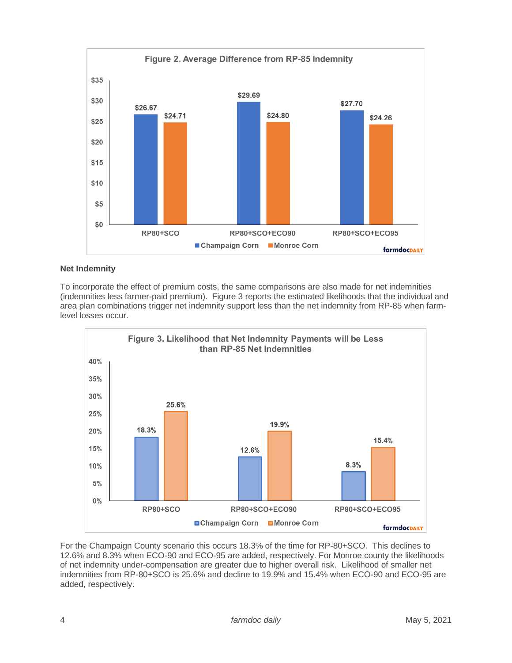

# **Net Indemnity**

To incorporate the effect of premium costs, the same comparisons are also made for net indemnities (indemnities less farmer-paid premium). Figure 3 reports the estimated likelihoods that the individual and area plan combinations trigger net indemnity support less than the net indemnity from RP-85 when farmlevel losses occur.



For the Champaign County scenario this occurs 18.3% of the time for RP-80+SCO. This declines to 12.6% and 8.3% when ECO-90 and ECO-95 are added, respectively. For Monroe county the likelihoods of net indemnity under-compensation are greater due to higher overall risk. Likelihood of smaller net indemnities from RP-80+SCO is 25.6% and decline to 19.9% and 15.4% when ECO-90 and ECO-95 are added, respectively.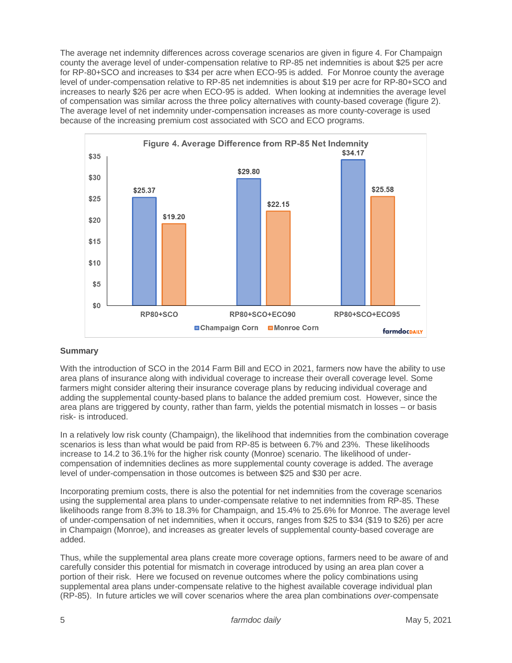The average net indemnity differences across coverage scenarios are given in figure 4. For Champaign county the average level of under-compensation relative to RP-85 net indemnities is about \$25 per acre for RP-80+SCO and increases to \$34 per acre when ECO-95 is added. For Monroe county the average level of under-compensation relative to RP-85 net indemnities is about \$19 per acre for RP-80+SCO and increases to nearly \$26 per acre when ECO-95 is added. When looking at indemnities the average level of compensation was similar across the three policy alternatives with county-based coverage (figure 2). The average level of net indemnity under-compensation increases as more county-coverage is used because of the increasing premium cost associated with SCO and ECO programs.



# **Summary**

With the introduction of SCO in the 2014 Farm Bill and ECO in 2021, farmers now have the ability to use area plans of insurance along with individual coverage to increase their overall coverage level. Some farmers might consider altering their insurance coverage plans by reducing individual coverage and adding the supplemental county-based plans to balance the added premium cost. However, since the area plans are triggered by county, rather than farm, yields the potential mismatch in losses – or basis risk- is introduced.

In a relatively low risk county (Champaign), the likelihood that indemnities from the combination coverage scenarios is less than what would be paid from RP-85 is between 6.7% and 23%. These likelihoods increase to 14.2 to 36.1% for the higher risk county (Monroe) scenario. The likelihood of undercompensation of indemnities declines as more supplemental county coverage is added. The average level of under-compensation in those outcomes is between \$25 and \$30 per acre.

Incorporating premium costs, there is also the potential for net indemnities from the coverage scenarios using the supplemental area plans to under-compensate relative to net indemnities from RP-85. These likelihoods range from 8.3% to 18.3% for Champaign, and 15.4% to 25.6% for Monroe. The average level of under-compensation of net indemnities, when it occurs, ranges from \$25 to \$34 (\$19 to \$26) per acre in Champaign (Monroe), and increases as greater levels of supplemental county-based coverage are added.

Thus, while the supplemental area plans create more coverage options, farmers need to be aware of and carefully consider this potential for mismatch in coverage introduced by using an area plan cover a portion of their risk. Here we focused on revenue outcomes where the policy combinations using supplemental area plans under-compensate relative to the highest available coverage individual plan (RP-85). In future articles we will cover scenarios where the area plan combinations *over*-compensate